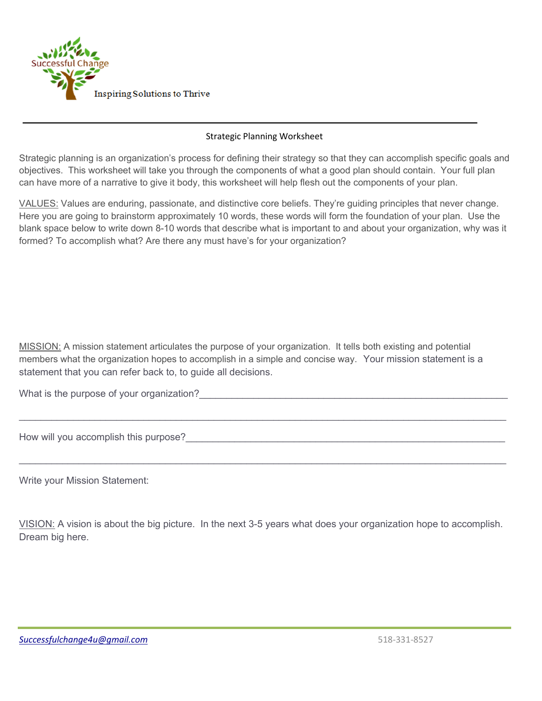

## Strategic Planning Worksheet

Strategic planning is an organization's process for defining their strategy so that they can accomplish specific goals and objectives. This worksheet will take you through the components of what a good plan should contain. Your full plan can have more of a narrative to give it body, this worksheet will help flesh out the components of your plan.

VALUES: Values are enduring, passionate, and distinctive core beliefs. They're guiding principles that never change. Here you are going to brainstorm approximately 10 words, these words will form the foundation of your plan. Use the blank space below to write down 8-10 words that describe what is important to and about your organization, why was it formed? To accomplish what? Are there any must have's for your organization?

MISSION: A mission statement articulates the purpose of your organization. It tells both existing and potential members what the organization hopes to accomplish in a simple and concise way. Your mission statement is a statement that you can refer back to, to guide all decisions.

 $\_$  , and the set of the set of the set of the set of the set of the set of the set of the set of the set of the set of the set of the set of the set of the set of the set of the set of the set of the set of the set of th

 $\_$  , and the set of the set of the set of the set of the set of the set of the set of the set of the set of the set of the set of the set of the set of the set of the set of the set of the set of the set of the set of th

What is the purpose of your organization?

How will you accomplish this purpose?\_\_\_\_\_\_\_\_\_\_\_\_\_\_\_\_\_\_\_\_\_\_\_\_\_\_\_\_\_\_\_\_\_\_\_\_\_\_\_\_\_\_\_\_\_\_\_\_\_\_\_\_\_\_\_\_\_\_\_

Write your Mission Statement:

VISION: A vision is about the big picture. In the next 3-5 years what does your organization hope to accomplish. Dream big here.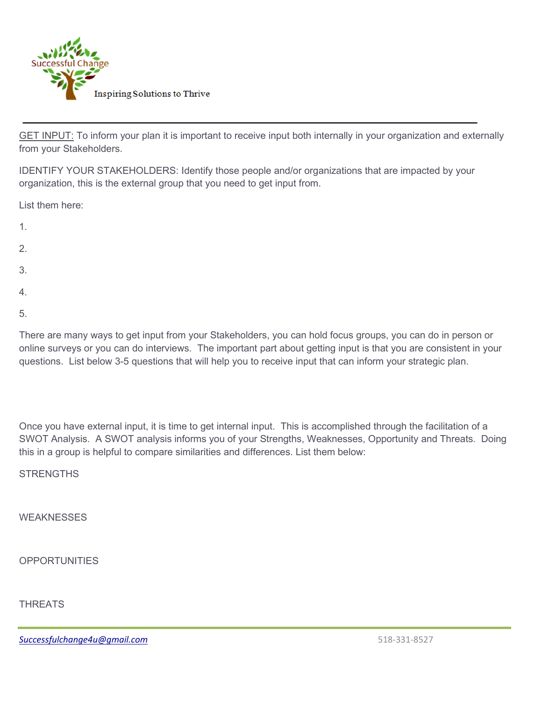

GET INPUT: To inform your plan it is important to receive input both internally in your organization and externally from your Stakeholders.

IDENTIFY YOUR STAKEHOLDERS: Identify those people and/or organizations that are impacted by your organization, this is the external group that you need to get input from.

List them here:

- 1.
- 2.
- 3.
- 
- 4.
- 5.

There are many ways to get input from your Stakeholders, you can hold focus groups, you can do in person or online surveys or you can do interviews. The important part about getting input is that you are consistent in your questions. List below 3-5 questions that will help you to receive input that can inform your strategic plan.

Once you have external input, it is time to get internal input. This is accomplished through the facilitation of a SWOT Analysis. A SWOT analysis informs you of your Strengths, Weaknesses, Opportunity and Threats. Doing this in a group is helpful to compare similarities and differences. List them below:

**STRENGTHS** 

**WEAKNESSES** 

**OPPORTUNITIES** 

**THRFATS** 

*[Successfulchange4u@gmail.com](mailto:Successfulchange4u@gmail.com)* 518-331-8527